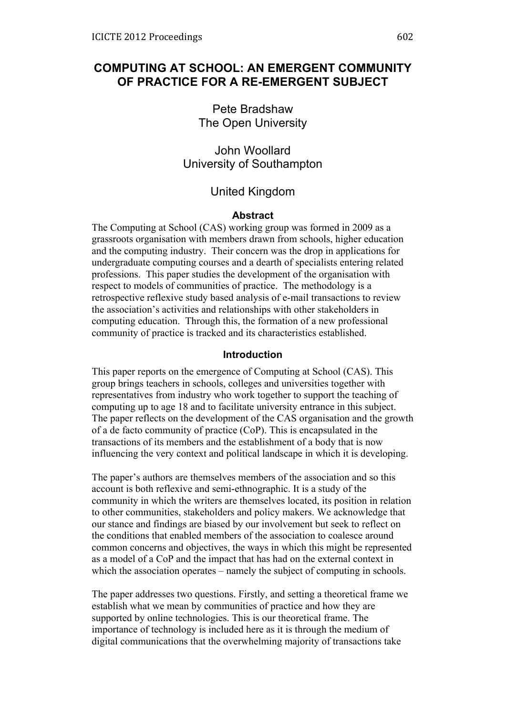# **COMPUTING AT SCHOOL: AN EMERGENT COMMUNITY OF PRACTICE FOR A RE-EMERGENT SUBJECT**

Pete Bradshaw The Open University

John Woollard University of Southampton

# United Kingdom

### **Abstract**

The Computing at School (CAS) working group was formed in 2009 as a grassroots organisation with members drawn from schools, higher education and the computing industry. Their concern was the drop in applications for undergraduate computing courses and a dearth of specialists entering related professions. This paper studies the development of the organisation with respect to models of communities of practice. The methodology is a retrospective reflexive study based analysis of e-mail transactions to review the association's activities and relationships with other stakeholders in computing education. Through this, the formation of a new professional community of practice is tracked and its characteristics established.

#### **Introduction**

This paper reports on the emergence of Computing at School (CAS). This group brings teachers in schools, colleges and universities together with representatives from industry who work together to support the teaching of computing up to age 18 and to facilitate university entrance in this subject. The paper reflects on the development of the CAS organisation and the growth of a de facto community of practice (CoP). This is encapsulated in the transactions of its members and the establishment of a body that is now influencing the very context and political landscape in which it is developing.

The paper's authors are themselves members of the association and so this account is both reflexive and semi-ethnographic. It is a study of the community in which the writers are themselves located, its position in relation to other communities, stakeholders and policy makers. We acknowledge that our stance and findings are biased by our involvement but seek to reflect on the conditions that enabled members of the association to coalesce around common concerns and objectives, the ways in which this might be represented as a model of a CoP and the impact that has had on the external context in which the association operates – namely the subject of computing in schools.

The paper addresses two questions. Firstly, and setting a theoretical frame we establish what we mean by communities of practice and how they are supported by online technologies. This is our theoretical frame. The importance of technology is included here as it is through the medium of digital communications that the overwhelming majority of transactions take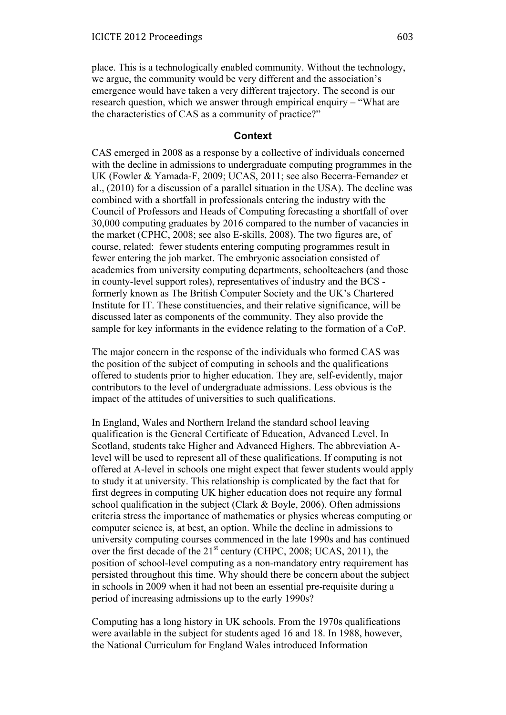place. This is a technologically enabled community. Without the technology, we argue, the community would be very different and the association's emergence would have taken a very different trajectory. The second is our research question, which we answer through empirical enquiry – "What are the characteristics of CAS as a community of practice?"

## **Context**

CAS emerged in 2008 as a response by a collective of individuals concerned with the decline in admissions to undergraduate computing programmes in the UK (Fowler & Yamada-F, 2009; UCAS, 2011; see also Becerra-Fernandez et al., (2010) for a discussion of a parallel situation in the USA). The decline was combined with a shortfall in professionals entering the industry with the Council of Professors and Heads of Computing forecasting a shortfall of over 30,000 computing graduates by 2016 compared to the number of vacancies in the market (CPHC, 2008; see also E-skills, 2008). The two figures are, of course, related: fewer students entering computing programmes result in fewer entering the job market. The embryonic association consisted of academics from university computing departments, schoolteachers (and those in county-level support roles), representatives of industry and the BCS formerly known as The British Computer Society and the UK's Chartered Institute for IT. These constituencies, and their relative significance, will be discussed later as components of the community. They also provide the sample for key informants in the evidence relating to the formation of a CoP.

The major concern in the response of the individuals who formed CAS was the position of the subject of computing in schools and the qualifications offered to students prior to higher education. They are, self-evidently, major contributors to the level of undergraduate admissions. Less obvious is the impact of the attitudes of universities to such qualifications.

In England, Wales and Northern Ireland the standard school leaving qualification is the General Certificate of Education, Advanced Level. In Scotland, students take Higher and Advanced Highers. The abbreviation Alevel will be used to represent all of these qualifications. If computing is not offered at A-level in schools one might expect that fewer students would apply to study it at university. This relationship is complicated by the fact that for first degrees in computing UK higher education does not require any formal school qualification in the subject (Clark & Boyle, 2006). Often admissions criteria stress the importance of mathematics or physics whereas computing or computer science is, at best, an option. While the decline in admissions to university computing courses commenced in the late 1990s and has continued over the first decade of the  $21<sup>st</sup>$  century (CHPC, 2008; UCAS, 2011), the position of school-level computing as a non-mandatory entry requirement has persisted throughout this time. Why should there be concern about the subject in schools in 2009 when it had not been an essential pre-requisite during a period of increasing admissions up to the early 1990s?

Computing has a long history in UK schools. From the 1970s qualifications were available in the subject for students aged 16 and 18. In 1988, however, the National Curriculum for England Wales introduced Information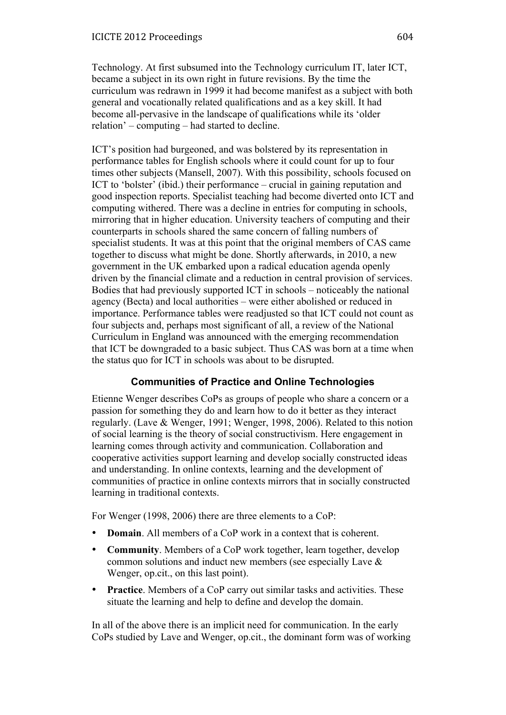Technology. At first subsumed into the Technology curriculum IT, later ICT, became a subject in its own right in future revisions. By the time the curriculum was redrawn in 1999 it had become manifest as a subject with both general and vocationally related qualifications and as a key skill. It had become all-pervasive in the landscape of qualifications while its 'older relation' – computing – had started to decline.

ICT's position had burgeoned, and was bolstered by its representation in performance tables for English schools where it could count for up to four times other subjects (Mansell, 2007). With this possibility, schools focused on ICT to 'bolster' (ibid.) their performance – crucial in gaining reputation and good inspection reports. Specialist teaching had become diverted onto ICT and computing withered. There was a decline in entries for computing in schools, mirroring that in higher education. University teachers of computing and their counterparts in schools shared the same concern of falling numbers of specialist students. It was at this point that the original members of CAS came together to discuss what might be done. Shortly afterwards, in 2010, a new government in the UK embarked upon a radical education agenda openly driven by the financial climate and a reduction in central provision of services. Bodies that had previously supported ICT in schools – noticeably the national agency (Becta) and local authorities – were either abolished or reduced in importance. Performance tables were readjusted so that ICT could not count as four subjects and, perhaps most significant of all, a review of the National Curriculum in England was announced with the emerging recommendation that ICT be downgraded to a basic subject. Thus CAS was born at a time when the status quo for ICT in schools was about to be disrupted.

# **Communities of Practice and Online Technologies**

Etienne Wenger describes CoPs as groups of people who share a concern or a passion for something they do and learn how to do it better as they interact regularly. (Lave & Wenger, 1991; Wenger, 1998, 2006). Related to this notion of social learning is the theory of social constructivism. Here engagement in learning comes through activity and communication. Collaboration and cooperative activities support learning and develop socially constructed ideas and understanding. In online contexts, learning and the development of communities of practice in online contexts mirrors that in socially constructed learning in traditional contexts.

For Wenger (1998, 2006) there are three elements to a CoP:

- **Domain**. All members of a CoP work in a context that is coherent.
- **Community**. Members of a CoP work together, learn together, develop common solutions and induct new members (see especially Lave & Wenger, op.cit., on this last point).
- **Practice**. Members of a CoP carry out similar tasks and activities. These situate the learning and help to define and develop the domain.

In all of the above there is an implicit need for communication. In the early CoPs studied by Lave and Wenger, op.cit., the dominant form was of working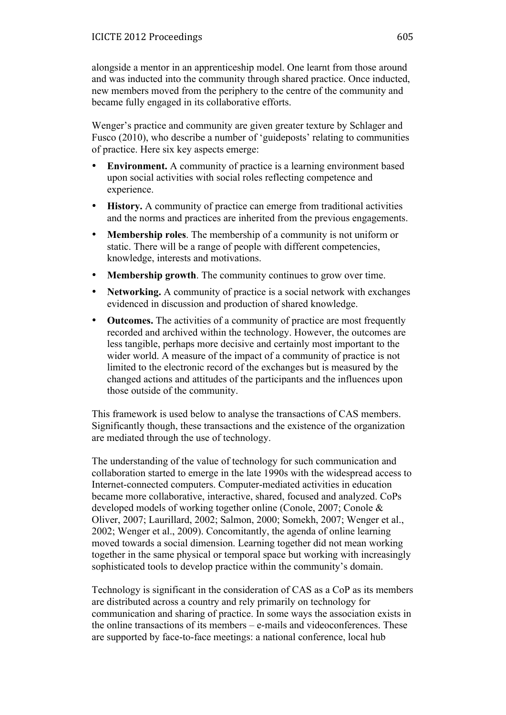alongside a mentor in an apprenticeship model. One learnt from those around and was inducted into the community through shared practice. Once inducted, new members moved from the periphery to the centre of the community and became fully engaged in its collaborative efforts.

Wenger's practice and community are given greater texture by Schlager and Fusco (2010), who describe a number of 'guideposts' relating to communities of practice. Here six key aspects emerge:

- **Environment.** A community of practice is a learning environment based upon social activities with social roles reflecting competence and experience.
- **History.** A community of practice can emerge from traditional activities and the norms and practices are inherited from the previous engagements.
- **Membership roles**. The membership of a community is not uniform or static. There will be a range of people with different competencies, knowledge, interests and motivations.
- **Membership growth**. The community continues to grow over time.
- **Networking.** A community of practice is a social network with exchanges evidenced in discussion and production of shared knowledge.
- **Outcomes.** The activities of a community of practice are most frequently recorded and archived within the technology. However, the outcomes are less tangible, perhaps more decisive and certainly most important to the wider world. A measure of the impact of a community of practice is not limited to the electronic record of the exchanges but is measured by the changed actions and attitudes of the participants and the influences upon those outside of the community.

This framework is used below to analyse the transactions of CAS members. Significantly though, these transactions and the existence of the organization are mediated through the use of technology.

The understanding of the value of technology for such communication and collaboration started to emerge in the late 1990s with the widespread access to Internet-connected computers. Computer-mediated activities in education became more collaborative, interactive, shared, focused and analyzed. CoPs developed models of working together online (Conole, 2007; Conole & Oliver, 2007; Laurillard, 2002; Salmon, 2000; Somekh, 2007; Wenger et al., 2002; Wenger et al., 2009). Concomitantly, the agenda of online learning moved towards a social dimension. Learning together did not mean working together in the same physical or temporal space but working with increasingly sophisticated tools to develop practice within the community's domain.

Technology is significant in the consideration of CAS as a CoP as its members are distributed across a country and rely primarily on technology for communication and sharing of practice. In some ways the association exists in the online transactions of its members – e-mails and videoconferences. These are supported by face-to-face meetings: a national conference, local hub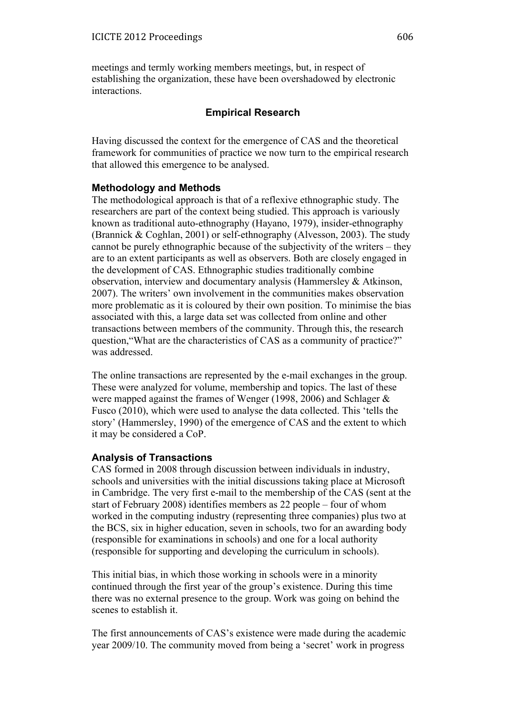meetings and termly working members meetings, but, in respect of establishing the organization, these have been overshadowed by electronic interactions.

## **Empirical Research**

Having discussed the context for the emergence of CAS and the theoretical framework for communities of practice we now turn to the empirical research that allowed this emergence to be analysed.

### **Methodology and Methods**

The methodological approach is that of a reflexive ethnographic study. The researchers are part of the context being studied. This approach is variously known as traditional auto-ethnography (Hayano, 1979), insider-ethnography (Brannick & Coghlan, 2001) or self-ethnography (Alvesson, 2003). The study cannot be purely ethnographic because of the subjectivity of the writers – they are to an extent participants as well as observers. Both are closely engaged in the development of CAS. Ethnographic studies traditionally combine observation, interview and documentary analysis (Hammersley & Atkinson, 2007). The writers' own involvement in the communities makes observation more problematic as it is coloured by their own position. To minimise the bias associated with this, a large data set was collected from online and other transactions between members of the community. Through this, the research question,"What are the characteristics of CAS as a community of practice?" was addressed.

The online transactions are represented by the e-mail exchanges in the group. These were analyzed for volume, membership and topics. The last of these were mapped against the frames of Wenger (1998, 2006) and Schlager & Fusco (2010), which were used to analyse the data collected. This 'tells the story' (Hammersley, 1990) of the emergence of CAS and the extent to which it may be considered a CoP.

## **Analysis of Transactions**

CAS formed in 2008 through discussion between individuals in industry, schools and universities with the initial discussions taking place at Microsoft in Cambridge. The very first e-mail to the membership of the CAS (sent at the start of February 2008) identifies members as 22 people – four of whom worked in the computing industry (representing three companies) plus two at the BCS, six in higher education, seven in schools, two for an awarding body (responsible for examinations in schools) and one for a local authority (responsible for supporting and developing the curriculum in schools).

This initial bias, in which those working in schools were in a minority continued through the first year of the group's existence. During this time there was no external presence to the group. Work was going on behind the scenes to establish it.

The first announcements of CAS's existence were made during the academic year 2009/10. The community moved from being a 'secret' work in progress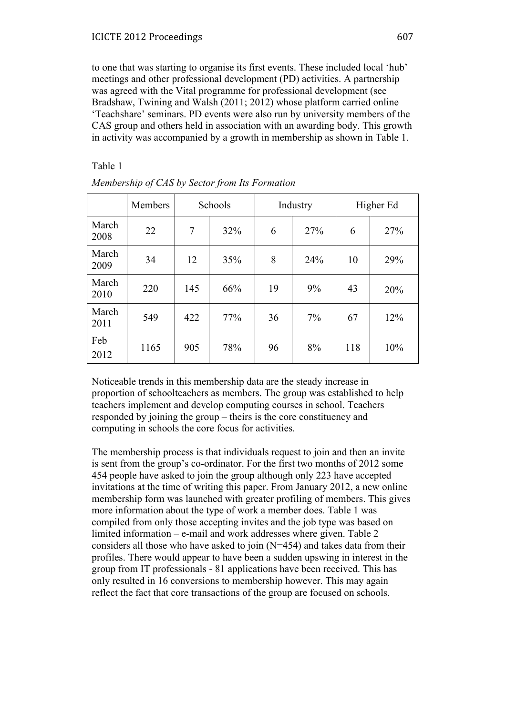to one that was starting to organise its first events. These included local 'hub' meetings and other professional development (PD) activities. A partnership was agreed with the Vital programme for professional development (see Bradshaw, Twining and Walsh (2011; 2012) whose platform carried online 'Teachshare' seminars. PD events were also run by university members of the CAS group and others held in association with an awarding body. This growth in activity was accompanied by a growth in membership as shown in Table 1.

Table 1

|               | Members | Schools |     |    | Industry | Higher Ed |     |
|---------------|---------|---------|-----|----|----------|-----------|-----|
| March<br>2008 | 22      | 7       | 32% | 6  | 27%      | 6         | 27% |
| March<br>2009 | 34      | 12      | 35% | 8  | 24%      | 10        | 29% |
| March<br>2010 | 220     | 145     | 66% | 19 | 9%       | 43        | 20% |
| March<br>2011 | 549     | 422     | 77% | 36 | 7%       | 67        | 12% |
| Feb<br>2012   | 1165    | 905     | 78% | 96 | 8%       | 118       | 10% |

*Membership of CAS by Sector from Its Formation*

Noticeable trends in this membership data are the steady increase in proportion of schoolteachers as members. The group was established to help teachers implement and develop computing courses in school. Teachers responded by joining the group – theirs is the core constituency and computing in schools the core focus for activities.

The membership process is that individuals request to join and then an invite is sent from the group's co-ordinator. For the first two months of 2012 some 454 people have asked to join the group although only 223 have accepted invitations at the time of writing this paper. From January 2012, a new online membership form was launched with greater profiling of members. This gives more information about the type of work a member does. Table 1 was compiled from only those accepting invites and the job type was based on limited information – e-mail and work addresses where given. Table 2 considers all those who have asked to join (N=454) and takes data from their profiles. There would appear to have been a sudden upswing in interest in the group from IT professionals - 81 applications have been received. This has only resulted in 16 conversions to membership however. This may again reflect the fact that core transactions of the group are focused on schools.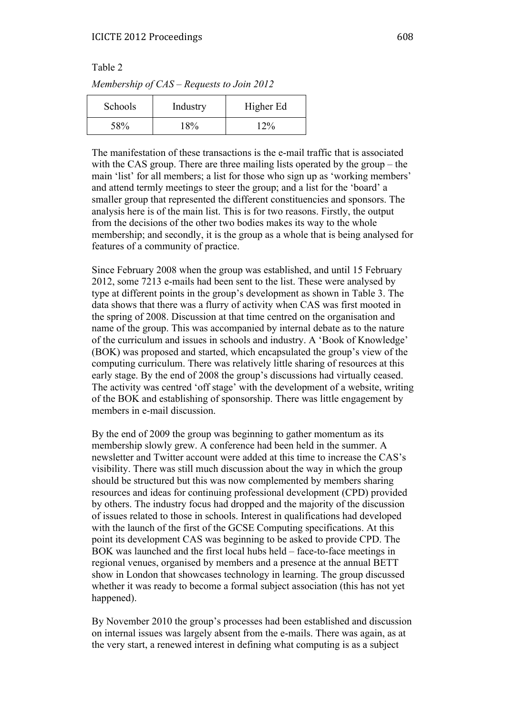Table 2

| Schools | Industry | Higher Ed |
|---------|----------|-----------|
| 58%     | $18\%$   | 12%       |

The manifestation of these transactions is the e-mail traffic that is associated with the CAS group. There are three mailing lists operated by the group – the main 'list' for all members; a list for those who sign up as 'working members' and attend termly meetings to steer the group; and a list for the 'board' a smaller group that represented the different constituencies and sponsors. The analysis here is of the main list. This is for two reasons. Firstly, the output from the decisions of the other two bodies makes its way to the whole membership; and secondly, it is the group as a whole that is being analysed for features of a community of practice.

Since February 2008 when the group was established, and until 15 February 2012, some 7213 e-mails had been sent to the list. These were analysed by type at different points in the group's development as shown in Table 3. The data shows that there was a flurry of activity when CAS was first mooted in the spring of 2008. Discussion at that time centred on the organisation and name of the group. This was accompanied by internal debate as to the nature of the curriculum and issues in schools and industry. A 'Book of Knowledge' (BOK) was proposed and started, which encapsulated the group's view of the computing curriculum. There was relatively little sharing of resources at this early stage. By the end of 2008 the group's discussions had virtually ceased. The activity was centred 'off stage' with the development of a website, writing of the BOK and establishing of sponsorship. There was little engagement by members in e-mail discussion.

By the end of 2009 the group was beginning to gather momentum as its membership slowly grew. A conference had been held in the summer. A newsletter and Twitter account were added at this time to increase the CAS's visibility. There was still much discussion about the way in which the group should be structured but this was now complemented by members sharing resources and ideas for continuing professional development (CPD) provided by others. The industry focus had dropped and the majority of the discussion of issues related to those in schools. Interest in qualifications had developed with the launch of the first of the GCSE Computing specifications. At this point its development CAS was beginning to be asked to provide CPD. The BOK was launched and the first local hubs held – face-to-face meetings in regional venues, organised by members and a presence at the annual BETT show in London that showcases technology in learning. The group discussed whether it was ready to become a formal subject association (this has not yet happened).

By November 2010 the group's processes had been established and discussion on internal issues was largely absent from the e-mails. There was again, as at the very start, a renewed interest in defining what computing is as a subject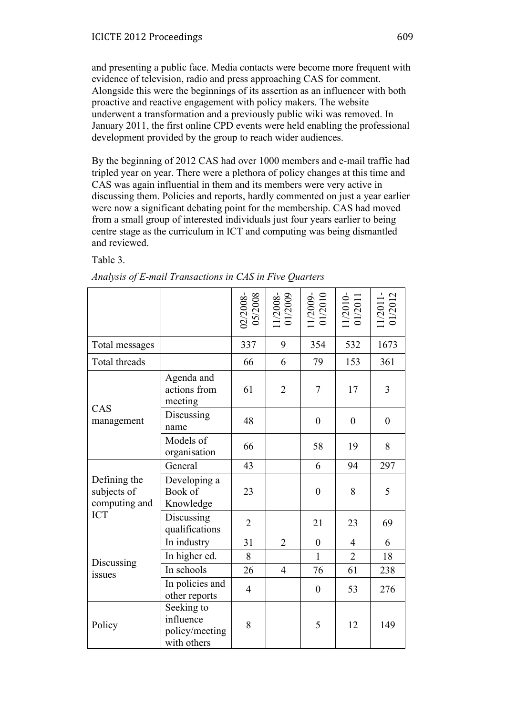and presenting a public face. Media contacts were become more frequent with evidence of television, radio and press approaching CAS for comment. Alongside this were the beginnings of its assertion as an influencer with both proactive and reactive engagement with policy makers. The website underwent a transformation and a previously public wiki was removed. In January 2011, the first online CPD events were held enabling the professional development provided by the group to reach wider audiences.

By the beginning of 2012 CAS had over 1000 members and e-mail traffic had tripled year on year. There were a plethora of policy changes at this time and CAS was again influential in them and its members were very active in discussing them. Policies and reports, hardly commented on just a year earlier were now a significant debating point for the membership. CAS had moved from a small group of interested individuals just four years earlier to being centre stage as the curriculum in ICT and computing was being dismantled and reviewed.

Table 3.

|                                              |                                                          | 02/2008-<br>05/2008 | 1/2008-<br>01/2009 | 1/2009-<br>01/2010 | 1/2010-<br>01/2011 | 1/2011-<br>01/2012 |
|----------------------------------------------|----------------------------------------------------------|---------------------|--------------------|--------------------|--------------------|--------------------|
| Total messages                               |                                                          | 337                 | 9                  | 354                | 532                | 1673               |
| Total threads                                |                                                          | 66                  | 6                  | 79                 | 153                | 361                |
|                                              | Agenda and<br>actions from<br>meeting                    | 61                  | $\overline{2}$     | $\overline{7}$     | 17                 | 3                  |
| CAS<br>management                            | Discussing<br>name                                       | 48                  |                    | $\overline{0}$     | $\overline{0}$     | $\boldsymbol{0}$   |
|                                              | Models of<br>organisation                                | 66                  |                    | 58                 | 19                 | 8                  |
|                                              | General                                                  | 43                  |                    | 6                  | 94                 | 297                |
| Defining the<br>subjects of<br>computing and | Developing a<br>Book of<br>Knowledge                     | 23                  |                    | $\boldsymbol{0}$   | 8                  | 5                  |
| <b>ICT</b>                                   | Discussing<br>qualifications                             | $\overline{2}$      |                    | 21                 | 23                 | 69                 |
|                                              | In industry                                              | 31                  | $\overline{2}$     | $\boldsymbol{0}$   | $\overline{4}$     | 6                  |
| Discussing                                   | In higher ed.                                            | 8                   |                    | $\mathbf{1}$       | $\overline{2}$     | 18                 |
| issues                                       | In schools                                               | 26                  | $\overline{4}$     | 76                 | 61                 | 238                |
|                                              | In policies and<br>other reports                         | $\overline{4}$      |                    | $\boldsymbol{0}$   | 53                 | 276                |
| Policy                                       | Seeking to<br>influence<br>policy/meeting<br>with others | 8                   |                    | 5                  | 12                 | 149                |

*Analysis of E-mail Transactions in CAS in Five Quarters*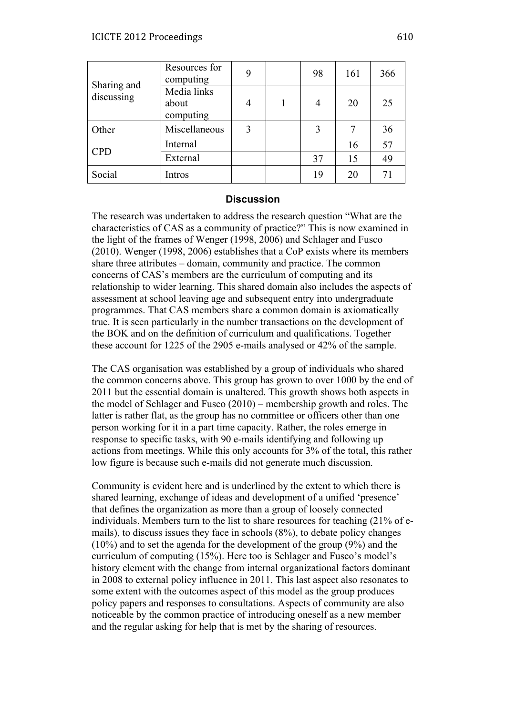|                           | Resources for<br>computing        | 9 | 98 | 161 | 366 |
|---------------------------|-----------------------------------|---|----|-----|-----|
| Sharing and<br>discussing | Media links<br>about<br>computing | 4 | 4  | 20  | 25  |
| Other                     | Miscellaneous                     | 3 |    |     | 36  |
| <b>CPD</b>                | Internal                          |   |    | 16  | 57  |
|                           | External                          |   | 37 | 15  | 49  |
| Social                    | Intros                            |   | 19 | 20  | 71  |

### **Discussion**

The research was undertaken to address the research question "What are the characteristics of CAS as a community of practice?" This is now examined in the light of the frames of Wenger (1998, 2006) and Schlager and Fusco (2010). Wenger (1998, 2006) establishes that a CoP exists where its members share three attributes – domain, community and practice. The common concerns of CAS's members are the curriculum of computing and its relationship to wider learning. This shared domain also includes the aspects of assessment at school leaving age and subsequent entry into undergraduate programmes. That CAS members share a common domain is axiomatically true. It is seen particularly in the number transactions on the development of the BOK and on the definition of curriculum and qualifications. Together these account for 1225 of the 2905 e-mails analysed or 42% of the sample.

The CAS organisation was established by a group of individuals who shared the common concerns above. This group has grown to over 1000 by the end of 2011 but the essential domain is unaltered. This growth shows both aspects in the model of Schlager and Fusco (2010) – membership growth and roles. The latter is rather flat, as the group has no committee or officers other than one person working for it in a part time capacity. Rather, the roles emerge in response to specific tasks, with 90 e-mails identifying and following up actions from meetings. While this only accounts for 3% of the total, this rather low figure is because such e-mails did not generate much discussion.

Community is evident here and is underlined by the extent to which there is shared learning, exchange of ideas and development of a unified 'presence' that defines the organization as more than a group of loosely connected individuals. Members turn to the list to share resources for teaching (21% of emails), to discuss issues they face in schools (8%), to debate policy changes (10%) and to set the agenda for the development of the group (9%) and the curriculum of computing (15%). Here too is Schlager and Fusco's model's history element with the change from internal organizational factors dominant in 2008 to external policy influence in 2011. This last aspect also resonates to some extent with the outcomes aspect of this model as the group produces policy papers and responses to consultations. Aspects of community are also noticeable by the common practice of introducing oneself as a new member and the regular asking for help that is met by the sharing of resources.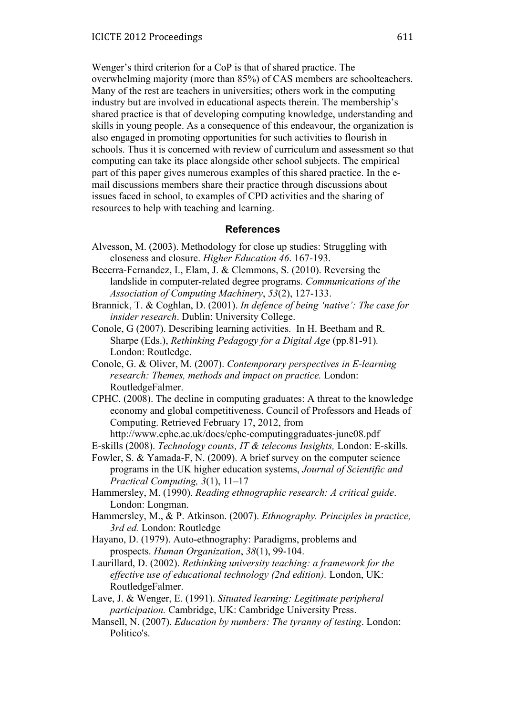Wenger's third criterion for a CoP is that of shared practice. The overwhelming majority (more than 85%) of CAS members are schoolteachers. Many of the rest are teachers in universities; others work in the computing industry but are involved in educational aspects therein. The membership's shared practice is that of developing computing knowledge, understanding and skills in young people. As a consequence of this endeavour, the organization is also engaged in promoting opportunities for such activities to flourish in schools. Thus it is concerned with review of curriculum and assessment so that computing can take its place alongside other school subjects. The empirical part of this paper gives numerous examples of this shared practice. In the email discussions members share their practice through discussions about issues faced in school, to examples of CPD activities and the sharing of resources to help with teaching and learning.

### **References**

- Alvesson, M. (2003). Methodology for close up studies: Struggling with closeness and closure. *Higher Education 46*. 167-193.
- Becerra-Fernandez, I., Elam, J. & Clemmons, S. (2010). Reversing the landslide in computer-related degree programs. *Communications of the Association of Computing Machinery*, *53*(2), 127-133.
- Brannick, T. & Coghlan, D. (2001). *In defence of being 'native': The case for insider research*. Dublin: University College.
- Conole, G (2007). Describing learning activities. In H. Beetham and R. Sharpe (Eds.), *Rethinking Pedagogy for a Digital Age* (pp.81-91)*.* London: Routledge.
- Conole, G. & Oliver, M. (2007). *Contemporary perspectives in E-learning research: Themes, methods and impact on practice.* London: RoutledgeFalmer.
- CPHC. (2008). The decline in computing graduates: A threat to the knowledge economy and global competitiveness. Council of Professors and Heads of Computing. Retrieved February 17, 2012, from http://www.cphc.ac.uk/docs/cphc-computinggraduates-june08.pdf
- E-skills (2008). *Technology counts, IT & telecoms Insights,* London: E-skills.
- Fowler, S. & Yamada-F, N. (2009). A brief survey on the computer science programs in the UK higher education systems, *Journal of Scientific and Practical Computing, 3*(1), 11–17
- Hammersley, M. (1990). *Reading ethnographic research: A critical guide*. London: Longman.
- Hammersley, M., & P. Atkinson. (2007). *Ethnography. Principles in practice, 3rd ed.* London: Routledge
- Hayano, D. (1979). Auto-ethnography: Paradigms, problems and prospects. *Human Organization*, *38*(1), 99-104.
- Laurillard, D. (2002). *Rethinking university teaching: a framework for the effective use of educational technology (2nd edition).* London, UK: RoutledgeFalmer.
- Lave, J. & Wenger, E. (1991). *Situated learning: Legitimate peripheral participation.* Cambridge, UK: Cambridge University Press.
- Mansell, N. (2007). *Education by numbers: The tyranny of testing*. London: Politico's.